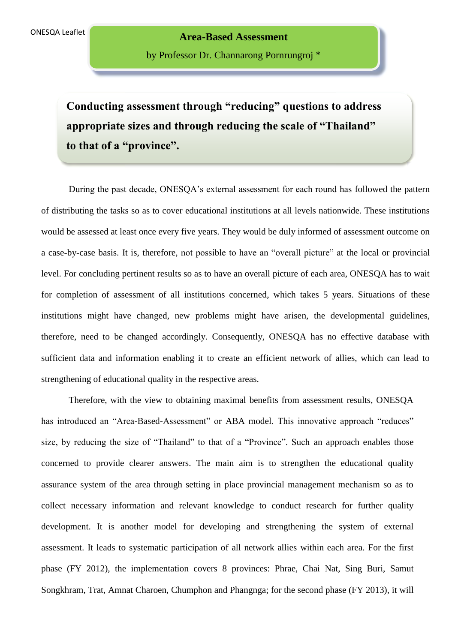by Professor Dr. Channarong Pornrungroj \*

**Conducting assessment through "reducing" questions to address appropriate sizes and through reducing the scale of "Thailand" to that of a "province".**

During the past decade, ONESQA's external assessment for each round has followed the pattern of distributing the tasks so as to cover educational institutions at all levels nationwide. These institutions would be assessed at least once every five years. They would be duly informed of assessment outcome on a case-by-case basis. It is, therefore, not possible to have an "overall picture" at the local or provincial level. For concluding pertinent results so as to have an overall picture of each area, ONESQA has to wait for completion of assessment of all institutions concerned, which takes 5 years. Situations of these institutions might have changed, new problems might have arisen, the developmental guidelines, therefore, need to be changed accordingly. Consequently, ONESQA has no effective database with sufficient data and information enabling it to create an efficient network of allies, which can lead to strengthening of educational quality in the respective areas.

Therefore, with the view to obtaining maximal benefits from assessment results, ONESQA has introduced an "Area-Based-Assessment" or ABA model. This innovative approach "reduces" size, by reducing the size of "Thailand" to that of a "Province". Such an approach enables those concerned to provide clearer answers. The main aim is to strengthen the educational quality assurance system of the area through setting in place provincial management mechanism so as to collect necessary information and relevant knowledge to conduct research for further quality development. It is another model for developing and strengthening the system of external assessment. It leads to systematic participation of all network allies within each area. For the first phase (FY 2012), the implementation covers 8 provinces: Phrae, Chai Nat, Sing Buri, Samut Songkhram, Trat, Amnat Charoen, Chumphon and Phangnga; for the second phase (FY 2013), it will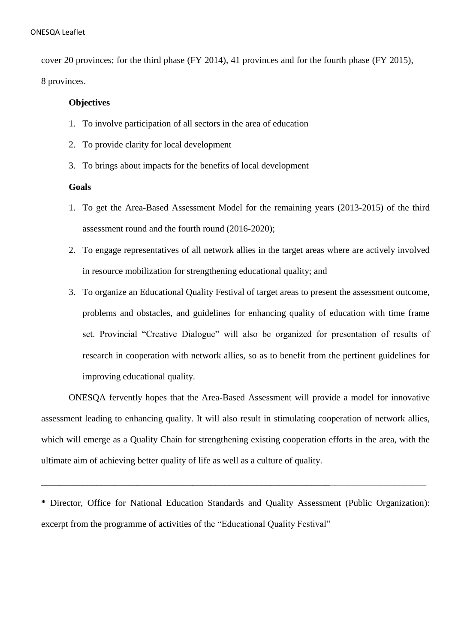cover 20 provinces; for the third phase (FY 2014), 41 provinces and for the fourth phase (FY 2015), 8 provinces.

## **Objectives**

- 1. To involve participation of all sectors in the area of education
- 2. To provide clarity for local development
- 3. To brings about impacts for the benefits of local development

## **Goals**

- 1. To get the Area-Based Assessment Model for the remaining years (2013-2015) of the third assessment round and the fourth round (2016-2020);
- 2. To engage representatives of all network allies in the target areas where are actively involved in resource mobilization for strengthening educational quality; and
- 3. To organize an Educational Quality Festival of target areas to present the assessment outcome, problems and obstacles, and guidelines for enhancing quality of education with time frame set. Provincial "Creative Dialogue" will also be organized for presentation of results of research in cooperation with network allies, so as to benefit from the pertinent guidelines for improving educational quality.

ONESQA fervently hopes that the Area-Based Assessment will provide a model for innovative assessment leading to enhancing quality. It will also result in stimulating cooperation of network allies, which will emerge as a Quality Chain for strengthening existing cooperation efforts in the area, with the ultimate aim of achieving better quality of life as well as a culture of quality.

**\*** Director, Office for National Education Standards and Quality Assessment (Public Organization): excerpt from the programme of activities of the "Educational Quality Festival"

**\_\_\_\_\_\_\_\_\_\_\_\_\_\_\_\_\_\_\_\_\_\_\_\_\_\_\_\_\_\_\_\_\_\_\_\_\_\_\_\_\_\_\_\_\_\_\_\_\_\_\_\_\_\_\_\_\_\_\_\_\_\_\_**\_\_\_\_\_\_\_\_\_\_\_\_\_\_\_\_\_\_\_\_\_